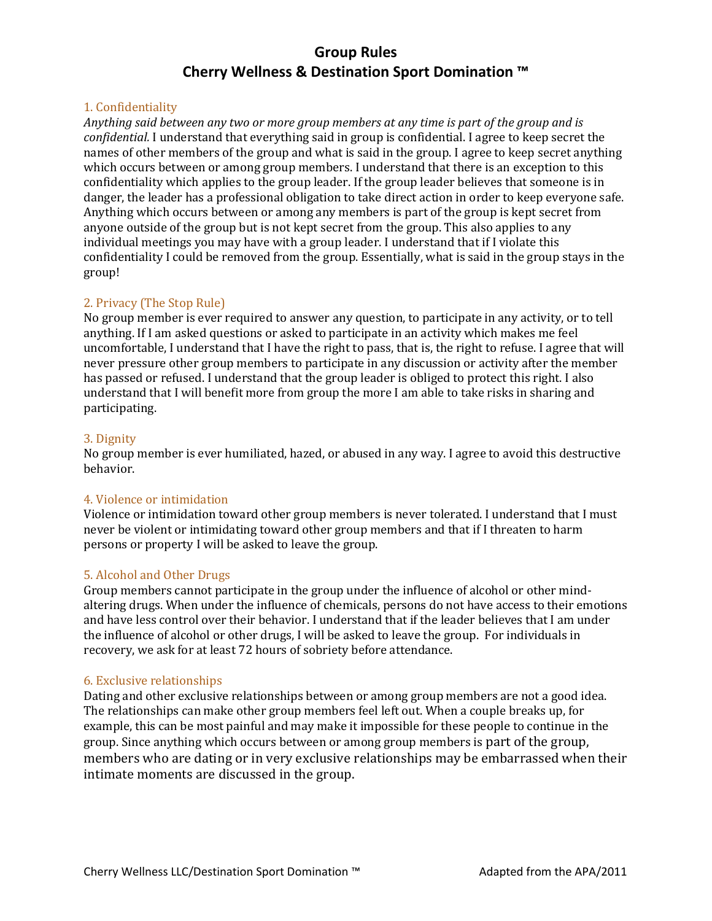# **Group Rules Cherry Wellness & Destination Sport Domination ™**

## 1. Confidentiality

*Anything said between any two or more group members at any time is part of the group and is confidential.* I understand that everything said in group is confidential. I agree to keep secret the names of other members of the group and what is said in the group. I agree to keep secret anything which occurs between or among group members. I understand that there is an exception to this confidentiality which applies to the group leader. If the group leader believes that someone is in danger, the leader has a professional obligation to take direct action in order to keep everyone safe. Anything which occurs between or among any members is part of the group is kept secret from anyone outside of the group but is not kept secret from the group. This also applies to any individual meetings you may have with a group leader. I understand that if I violate this confidentiality I could be removed from the group. Essentially, what is said in the group stays in the group!

## 2. Privacy (The Stop Rule)

No group member is ever required to answer any question, to participate in any activity, or to tell anything. If I am asked questions or asked to participate in an activity which makes me feel uncomfortable, I understand that I have the right to pass, that is, the right to refuse. I agree that will never pressure other group members to participate in any discussion or activity after the member has passed or refused. I understand that the group leader is obliged to protect this right. I also understand that I will benefit more from group the more I am able to take risks in sharing and participating.

## 3. Dignity

No group member is ever humiliated, hazed, or abused in any way. I agree to avoid this destructive behavior.

## 4. Violence or intimidation

Violence or intimidation toward other group members is never tolerated. I understand that I must never be violent or intimidating toward other group members and that if I threaten to harm persons or property I will be asked to leave the group.

## 5. Alcohol and Other Drugs

Group members cannot participate in the group under the influence of alcohol or other mindaltering drugs. When under the influence of chemicals, persons do not have access to their emotions and have less control over their behavior. I understand that if the leader believes that I am under the influence of alcohol or other drugs, I will be asked to leave the group. For individuals in recovery, we ask for at least 72 hours of sobriety before attendance.

## 6. Exclusive relationships

Dating and other exclusive relationships between or among group members are not a good idea. The relationships can make other group members feel left out. When a couple breaks up, for example, this can be most painful and may make it impossible for these people to continue in the group. Since anything which occurs between or among group members is part of the group, members who are dating or in very exclusive relationships may be embarrassed when their intimate moments are discussed in the group.